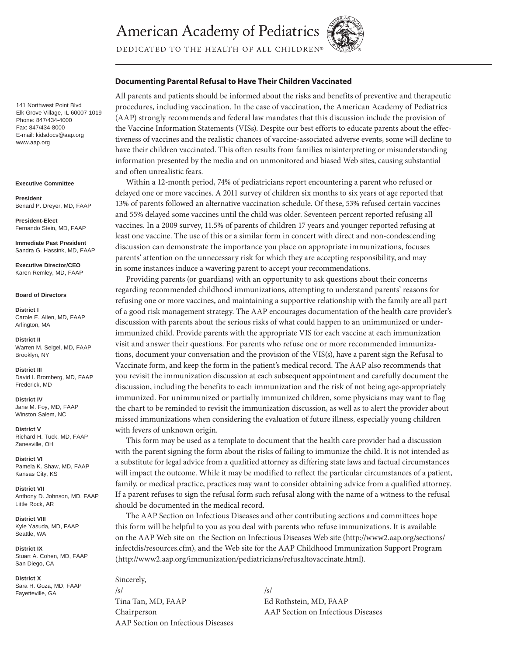**American Academy of Pediatrics** 



DEDICATED TO THE HEALTH OF ALL CHILDREN®

# **Documenting Parental Refusal to Have Their Children Vaccinated**

All parents and patients should be informed about the risks and benefits of preventive and therapeutic procedures, including vaccination. In the case of vaccination, the American Academy of Pediatrics (AAP) strongly recommends and federal law mandates that this discussion include the provision of the Vaccine Information Statements (VISs). Despite our best efforts to educate parents about the effectiveness of vaccines and the realistic chances of vaccine-associated adverse events, some will decline to have their children vaccinated. This often results from families misinterpreting or misunderstanding information presented by the media and on unmonitored and biased Web sites, causing substantial and often unrealistic fears.

Within a 12-month period, 74% of pediatricians report encountering a parent who refused or delayed one or more vaccines. A 2011 survey of children six months to six years of age reported that 13% of parents followed an alternative vaccination schedule. Of these, 53% refused certain vaccines and 55% delayed some vaccines until the child was older. Seventeen percent reported refusing all vaccines. In a 2009 survey, 11.5% of parents of children 17 years and younger reported refusing at least one vaccine. The use of this or a similar form in concert with direct and non-condescending discussion can demonstrate the importance you place on appropriate immunizations, focuses parents' attention on the unnecessary risk for which they are accepting responsibility, and may in some instances induce a wavering parent to accept your recommendations.

Providing parents (or guardians) with an opportunity to ask questions about their concerns regarding recommended childhood immunizations, attempting to understand parents' reasons for refusing one or more vaccines, and maintaining a supportive relationship with the family are all part of a good risk management strategy. The AAP encourages documentation of the health care provider's discussion with parents about the serious risks of what could happen to an unimmunized or underimmunized child. Provide parents with the appropriate VIS for each vaccine at each immunization visit and answer their questions. For parents who refuse one or more recommended immunizations, document your conversation and the provision of the VIS(s), have a parent sign the Refusal to Vaccinate form, and keep the form in the patient's medical record. The AAP also recommends that you revisit the immunization discussion at each subsequent appointment and carefully document the discussion, including the benefits to each immunization and the risk of not being age-appropriately immunized. For unimmunized or partially immunized children, some physicians may want to flag the chart to be reminded to revisit the immunization discussion, as well as to alert the provider about missed immunizations when considering the evaluation of future illness, especially young children with fevers of unknown origin.

This form may be used as a template to document that the health care provider had a discussion with the parent signing the form about the risks of failing to immunize the child. It is not intended as a substitute for legal advice from a qualified attorney as differing state laws and factual circumstances will impact the outcome. While it may be modified to reflect the particular circumstances of a patient, family, or medical practice, practices may want to consider obtaining advice from a qualified attorney. If a parent refuses to sign the refusal form such refusal along with the name of a witness to the refusal should be documented in the medical record.

The AAP Section on Infectious Diseases and other contributing sections and committees hope this form will be helpful to you as you deal with parents who refuse immunizations. It is available on the AAP Web site on the Section on Infectious Diseases Web site (http://www2.aap.org/sections/ infectdis/resources.cfm), and the Web site for the AAP Childhood Immunization Support Program (http://www2.aap.org/immunization/pediatricians/refusaltovaccinate.html).

Sincerely, /s/ /s/

AAP Section on Infectious Diseases

Tina Tan, MD, FAAP Ed Rothstein, MD, FAAP Chairperson AAP Section on Infectious Diseases

141 Northwest Point Blvd Elk Grove Village, IL 60007-1019 Phone: 847/434-4000 Fax: 847/434-8000 E-mail: kidsdocs@aap.org www.aap.org

**Executive Committee**

**President**  Benard P. Dreyer, MD, FAAP

**President-Elect** Fernando Stein, MD, FAAP

**Immediate Past President** Sandra G. Hassink, MD, FAAP

**Executive Director/CEO** Karen Remley, MD, FAAP

#### **Board of Directors**

**District I** Carole E. Allen, MD, FAAP Arlington, MA

**District II** Warren M. Seigel, MD, FAAP Brooklyn, NY

**District III** David I. Bromberg, MD, FAAP Frederick, MD

**District IV**  Jane M. Foy, MD, FAAP Winston Salem, NC

**District V** Richard H. Tuck, MD, FAAP Zanesville, OH

**District VI** Pamela K. Shaw, MD, FAAP Kansas City, KS

**District VII** Anthony D. Johnson, MD, FAAP Little Rock, AR

**District VIII** Kyle Yasuda, MD, FAAP Seattle, WA

**District IX** Stuart A. Cohen, MD, FAAP San Diego, CA

**District X** Sara H. Goza, MD, FAAP Fayetteville, GA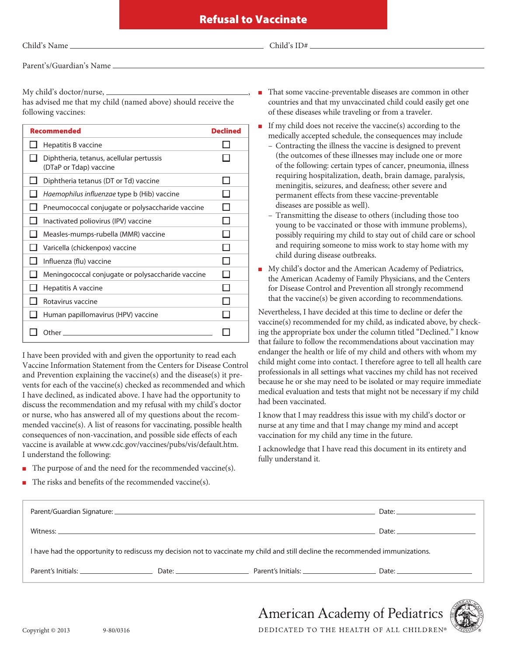Child's  $ID#$ 

Parent's/Guardian's Name

My child's doctor/nurse,  $\equiv$ 

has advised me that my child (named above) should receive the following vaccines:

| <b>Recommended</b>                                                 | <b>Declined</b> |
|--------------------------------------------------------------------|-----------------|
| Hepatitis B vaccine                                                |                 |
| Diphtheria, tetanus, acellular pertussis<br>(DTaP or Tdap) vaccine |                 |
| Diphtheria tetanus (DT or Td) vaccine                              |                 |
| Haemophilus influenzae type b (Hib) vaccine                        |                 |
| Pneumococcal conjugate or polysaccharide vaccine                   |                 |
| Inactivated poliovirus (IPV) vaccine                               |                 |
| Measles-mumps-rubella (MMR) vaccine                                |                 |
| Varicella (chickenpox) vaccine                                     |                 |
| Influenza (flu) vaccine                                            |                 |
| Meningococcal conjugate or polysaccharide vaccine                  |                 |
| Hepatitis A vaccine                                                |                 |
| Rotavirus vaccine                                                  |                 |
| Human papillomavirus (HPV) vaccine                                 |                 |
| Other                                                              |                 |

I have been provided with and given the opportunity to read each Vaccine Information Statement from the Centers for Disease Control and Prevention explaining the vaccine(s) and the disease(s) it prevents for each of the vaccine(s) checked as recommended and which I have declined, as indicated above. I have had the opportunity to discuss the recommendation and my refusal with my child's doctor or nurse, who has answered all of my questions about the recommended vaccine(s). A list of reasons for vaccinating, possible health consequences of non-vaccination, and possible side effects of each vaccine is available at www.cdc.gov/vaccines/pubs/vis/default.htm. I understand the following:

- $\blacksquare$  The purpose of and the need for the recommended vaccine(s).
- The risks and benefits of the recommended vaccine(s).
- <sup>n</sup> That some vaccine-preventable diseases are common in other countries and that my unvaccinated child could easily get one of these diseases while traveling or from a traveler.
- <sup>n</sup> If my child does not receive the vaccine(s) according to the medically accepted schedule, the consequences may include
	- Contracting the illness the vaccine is designed to prevent (the outcomes of these illnesses may include one or more of the following: certain types of cancer, pneumonia, illness requiring hospitalization, death, brain damage, paralysis, meningitis, seizures, and deafness; other severe and permanent effects from these vaccine-preventable diseases are possible as well).
	- Transmitting the disease to others (including those too young to be vaccinated or those with immune problems), possibly requiring my child to stay out of child care or school and requiring someone to miss work to stay home with my child during disease outbreaks.
- <sup>n</sup> My child's doctor and the American Academy of Pediatrics, the American Academy of Family Physicians, and the Centers for Disease Control and Prevention all strongly recommend that the vaccine(s) be given according to recommendations.

Nevertheless, I have decided at this time to decline or defer the vaccine(s) recommended for my child, as indicated above, by checking the appropriate box under the column titled "Declined." I know that failure to follow the recommendations about vaccination may endanger the health or life of my child and others with whom my child might come into contact. I therefore agree to tell all health care professionals in all settings what vaccines my child has not received because he or she may need to be isolated or may require immediate medical evaluation and tests that might not be necessary if my child had been vaccinated.

I know that I may readdress this issue with my child's doctor or nurse at any time and that I may change my mind and accept vaccination for my child any time in the future.

I acknowledge that I have read this document in its entirety and fully understand it.

|                                                                                                                                |  |                          | Date: $\qquad \qquad$                                                                                                                                                                                                                |  |
|--------------------------------------------------------------------------------------------------------------------------------|--|--------------------------|--------------------------------------------------------------------------------------------------------------------------------------------------------------------------------------------------------------------------------------|--|
|                                                                                                                                |  |                          |                                                                                                                                                                                                                                      |  |
| I have had the opportunity to rediscuss my decision not to vaccinate my child and still decline the recommended immunizations. |  |                          |                                                                                                                                                                                                                                      |  |
| Parent's Initials: _________________________                                                                                   |  | Date: Parent's Initials: | Date: <u>Date: Electronic Contract Contract Contract Contract Contract Contract Contract Contract Contract Contract Contract Contract Contract Contract Contract Contract Contract Contract Contract Contract Contract Contract </u> |  |
|                                                                                                                                |  |                          |                                                                                                                                                                                                                                      |  |



**American Academy of Pediatrics** DEDICATED TO THE HEALTH OF ALL CHILDREN®